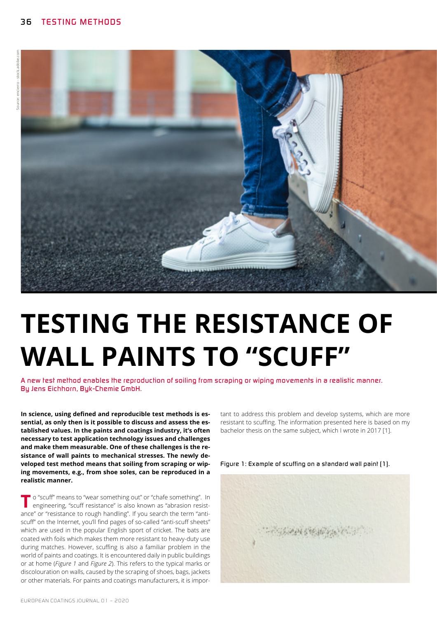

# **TESTING THE RESISTANCE OF WALL PAINTS TO "SCUFF"**

*A new test method enables the reproduction of soiling from scraping or wiping movements in a realistic manner. By Jens Eichhorn, Byk-Chemie GmbH.*

**In science, using defined and reproducible test methods is essential, as only then is it possible to discuss and assess the established values. In the paints and coatings industry, it's often necessary to test application technology issues and challenges and make them measurable. One of these challenges is the resistance of wall paints to mechanical stresses. The newly developed test method means that soiling from scraping or wiping movements, e.g., from shoe soles, can be reproduced in a realistic manner.** 

**T** o "scuff" means to "wear something out" or "chafe something". In engineering, "scuff resistance" is also known as "abrasion resistance" or "resistance to rough handling". If you search the term "antiscuff" on the Internet, you'll find pages of so-called "anti-scuff sheets" which are used in the popular English sport of cricket. The bats are coated with foils which makes them more resistant to heavy-duty use during matches. However, scuffing is also a familiar problem in the world of paints and coatings. It is encountered daily in public buildings or at home (*Figure 1* and *Figure 2*). This refers to the typical marks or discolouration on walls, caused by the scraping of shoes, bags, jackets or other materials. For paints and coatings manufacturers, it is impor-

tant to address this problem and develop systems, which are more resistant to scuffing. The information presented here is based on my bachelor thesis on the same subject, which I wrote in 2017 [1].



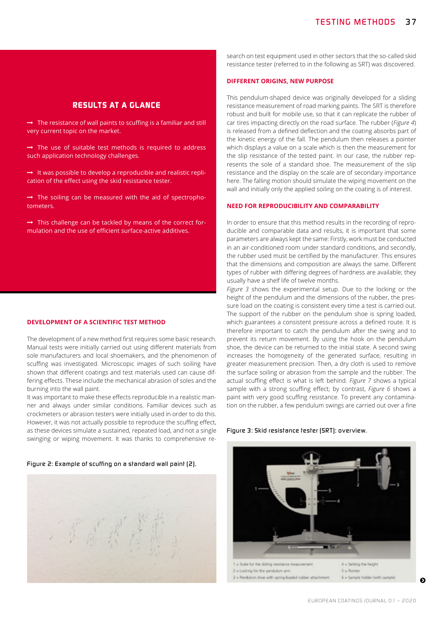# *RESULTS AT A GLANCE*

 $\rightarrow$  The resistance of wall paints to scuffing is a familiar and still very current topic on the market.

 $\rightarrow$  The use of suitable test methods is required to address such application technology challenges.

 $\rightarrow$  It was possible to develop a reproducible and realistic replication of the effect using the skid resistance tester.

 $\rightarrow$  The soiling can be measured with the aid of spectrophotometers.

 $\rightarrow$  This challenge can be tackled by means of the correct formulation and the use of efficient surface-active additives.

#### **DEVELOPMENT OF A SCIENTIFIC TEST METHOD**

The development of a new method first requires some basic research. Manual tests were initially carried out using different materials from sole manufacturers and local shoemakers, and the phenomenon of scuffing was investigated. Microscopic images of such soiling have shown that different coatings and test materials used can cause differing effects. These include the mechanical abrasion of soles and the burning into the wall paint.

It was important to make these effects reproducible in a realistic manner and always under similar conditions. Familiar devices such as crockmeters or abrasion testers were initially used in order to do this. However, it was not actually possible to reproduce the scuffing effect, as these devices simulate a sustained, repeated load, and not a single swinging or wiping movement. It was thanks to comprehensive re-

#### *Figure 2: Example of scuffing on a standard wall paint (2).*



search on test equipment used in other sectors that the so-called skid resistance tester (referred to in the following as SRT) was discovered.

# **DIFFERENT ORIGINS, NEW PURPOSE**

This pendulum-shaped device was originally developed for a sliding resistance measurement of road marking paints. The SRT is therefore robust and built for mobile use, so that it can replicate the rubber of car tires impacting directly on the road surface. The rubber (*Figure 4*) is released from a defined deflection and the coating absorbs part of the kinetic energy of the fall. The pendulum then releases a pointer which displays a value on a scale which is then the measurement for the slip resistance of the tested paint. In our case, the rubber represents the sole of a standard shoe. The measurement of the slip resistance and the display on the scale are of secondary importance here. The falling motion should simulate the wiping movement on the wall and initially only the applied soiling on the coating is of interest.

# **NEED FOR REPRODUCIBILITY AND COMPARABILITY**

In order to ensure that this method results in the recording of reproducible and comparable data and results, it is important that some parameters are always kept the same: Firstly, work must be conducted in an air-conditioned room under standard conditions, and secondly, the rubber used must be certified by the manufacturer. This ensures that the dimensions and composition are always the same. Different types of rubber with differing degrees of hardness are available; they usually have a shelf life of twelve months.

*Figure 3* shows the experimental setup. Due to the locking or the height of the pendulum and the dimensions of the rubber, the pressure load on the coating is consistent every time a test is carried out. The support of the rubber on the pendulum shoe is spring loaded, which guarantees a consistent pressure across a defined route. It is therefore important to catch the pendulum after the swing and to prevent its return movement. By using the hook on the pendulum shoe, the device can be returned to the initial state. A second swing increases the homogeneity of the generated surface, resulting in greater measurement precision. Then, a dry cloth is used to remove the surface soiling or abrasion from the sample and the rubber. The actual scuffing effect is what is left behind. *Figure 7* shows a typical sample with a strong scuffing effect; by contrast, *Figure 6* shows a paint with very good scuffing resistance. To prevent any contamination on the rubber, a few pendulum swings are carried out over a fine

#### *Figure 3: Skid resistance tester (SRT): overview.*



0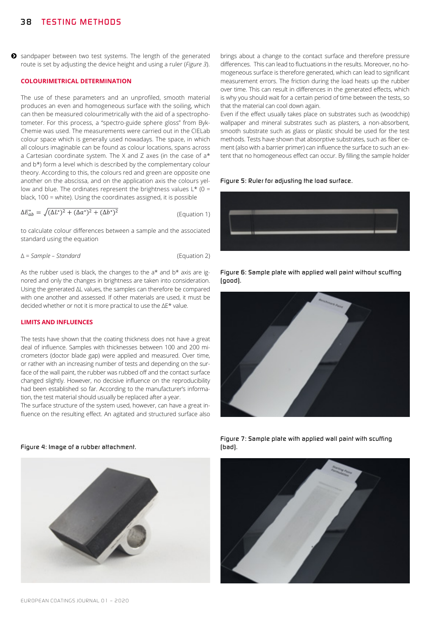$\bullet$  sandpaper between two test systems. The length of the generated route is set by adjusting the device height and using a ruler (*Figure 3*).

# **COLOURIMETRICAL DETERMINATION**

The use of these parameters and an unprofiled, smooth material produces an even and homogeneous surface with the soiling, which can then be measured colourimetrically with the aid of a spectrophotometer. For this process, a "spectro-guide sphere gloss" from Byk-Chemie was used. The measurements were carried out in the CIELab colour space which is generally used nowadays. The space, in which all colours imaginable can be found as colour locations, spans across a Cartesian coordinate system. The X and Z axes (in the case of a\* and b\*) form a level which is described by the complementary colour theory. According to this, the colours red and green are opposite one another on the abscissa, and on the application axis the colours yellow and blue. The ordinates represent the brightness values  $L*$  (0 = black, 100 = white). Using the coordinates assigned, it is possible

 $\Delta E_{ab}^* = \sqrt{(\Delta L^*)^2 + (\Delta a^*)^2 + (\Delta b^*)^2}$ (Equation 1)

to calculate colour differences between a sample and the associated standard using the equation

∆ = *Sample – Standard* (Equation 2)

As the rubber used is black, the changes to the  $a<sup>*</sup>$  and  $b<sup>*</sup>$  axis are ignored and only the changes in brightness are taken into consideration. Using the generated ∆L values, the samples can therefore be compared with one another and assessed. If other materials are used, it must be decided whether or not it is more practical to use the ∆E\* value.

# **LIMITS AND INFLUENCES**

The tests have shown that the coating thickness does not have a great deal of influence. Samples with thicknesses between 100 and 200 micrometers (doctor blade gap) were applied and measured. Over time, or rather with an increasing number of tests and depending on the surface of the wall paint, the rubber was rubbed off and the contact surface changed slightly. However, no decisive influence on the reproducibility had been established so far. According to the manufacturer's information, the test material should usually be replaced after a year.

The surface structure of the system used, however, can have a great influence on the resulting effect. An agitated and structured surface also

brings about a change to the contact surface and therefore pressure differences. This can lead to fluctuations in the results. Moreover, no homogeneous surface is therefore generated, which can lead to significant measurement errors. The friction during the load heats up the rubber over time. This can result in differences in the generated effects, which is why you should wait for a certain period of time between the tests, so that the material can cool down again.

Even if the effect usually takes place on substrates such as (woodchip) wallpaper and mineral substrates such as plasters, a non-absorbent, smooth substrate such as glass or plastic should be used for the test methods. Tests have shown that absorptive substrates, such as fiber cement (also with a barrier primer) can influence the surface to such an extent that no homogeneous effect can occur. By filling the sample holder

#### *Figure 5: Ruler for adjusting the load surface.*









*Figure 7: Sample plate with applied wall paint with scuffing (bad).*



*Figure 4: Image of a rubber attachment.*